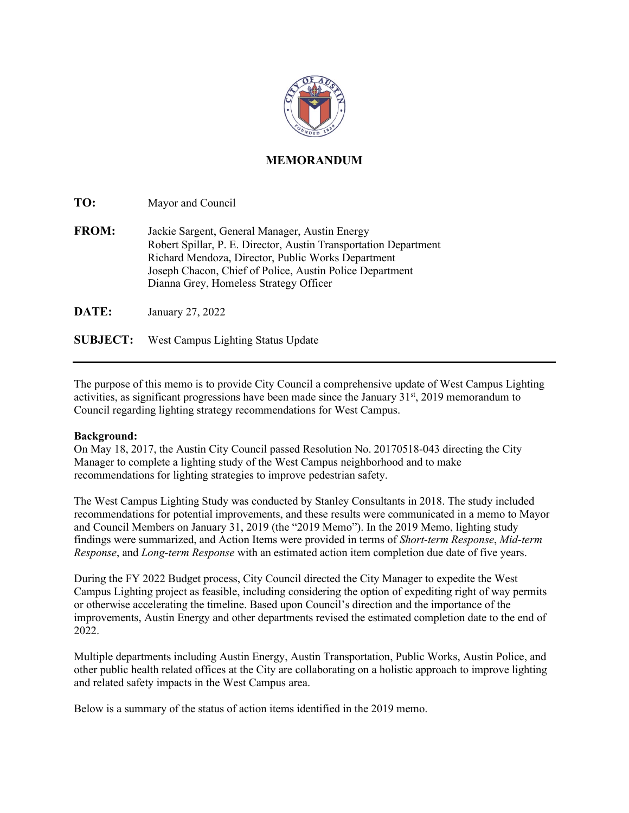

## **MEMORANDUM**

**TO:** Mayor and Council

**FROM:** Jackie Sargent, General Manager, Austin Energy Robert Spillar, P. E. Director, Austin Transportation Department Richard Mendoza, Director, Public Works Department Joseph Chacon, Chief of Police, Austin Police Department Dianna Grey, Homeless Strategy Officer

**DATE:** January 27, 2022

**SUBJECT:** West Campus Lighting Status Update

The purpose of this memo is to provide City Council a comprehensive update of West Campus Lighting activities, as significant progressions have been made since the January 31<sup>st</sup>, 2019 memorandum to Council regarding lighting strategy recommendations for West Campus.

## **Background:**

On May 18, 2017, the Austin City Council passed Resolution No. 20170518-043 directing the City Manager to complete a lighting study of the West Campus neighborhood and to make recommendations for lighting strategies to improve pedestrian safety.

The West Campus Lighting Study was conducted by Stanley Consultants in 2018. The study included recommendations for potential improvements, and these results were communicated in a memo to Mayor and Council Members on January 31, 2019 (the "2019 Memo"). In the 2019 Memo, lighting study findings were summarized, and Action Items were provided in terms of *Short-term Response*, *Mid-term Response*, and *Long-term Response* with an estimated action item completion due date of five years.

During the FY 2022 Budget process, City Council directed the City Manager to expedite the West Campus Lighting project as feasible, including considering the option of expediting right of way permits or otherwise accelerating the timeline. Based upon Council's direction and the importance of the improvements, Austin Energy and other departments revised the estimated completion date to the end of 2022.

Multiple departments including Austin Energy, Austin Transportation, Public Works, Austin Police, and other public health related offices at the City are collaborating on a holistic approach to improve lighting and related safety impacts in the West Campus area.

Below is a summary of the status of action items identified in the 2019 memo.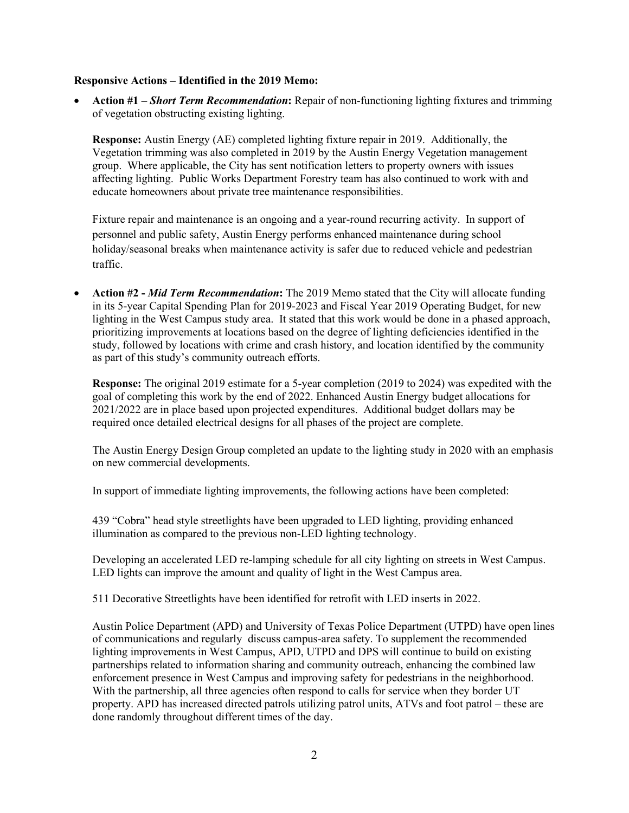## **Responsive Actions – Identified in the 2019 Memo:**

• **Action #1 –** *Short Term Recommendation***:** Repair of non-functioning lighting fixtures and trimming of vegetation obstructing existing lighting.

**Response:** Austin Energy (AE) completed lighting fixture repair in 2019. Additionally, the Vegetation trimming was also completed in 2019 by the Austin Energy Vegetation management group. Where applicable, the City has sent notification letters to property owners with issues affecting lighting. Public Works Department Forestry team has also continued to work with and educate homeowners about private tree maintenance responsibilities.

Fixture repair and maintenance is an ongoing and a year-round recurring activity. In support of personnel and public safety, Austin Energy performs enhanced maintenance during school holiday/seasonal breaks when maintenance activity is safer due to reduced vehicle and pedestrian traffic.

• **Action #2 -** *Mid Term Recommendation***:** The 2019 Memo stated that the City will allocate funding in its 5-year Capital Spending Plan for 2019-2023 and Fiscal Year 2019 Operating Budget, for new lighting in the West Campus study area. It stated that this work would be done in a phased approach, prioritizing improvements at locations based on the degree of lighting deficiencies identified in the study, followed by locations with crime and crash history, and location identified by the community as part of this study's community outreach efforts.

**Response:** The original 2019 estimate for a 5-year completion (2019 to 2024) was expedited with the goal of completing this work by the end of 2022. Enhanced Austin Energy budget allocations for 2021/2022 are in place based upon projected expenditures. Additional budget dollars may be required once detailed electrical designs for all phases of the project are complete.

The Austin Energy Design Group completed an update to the lighting study in 2020 with an emphasis on new commercial developments.

In support of immediate lighting improvements, the following actions have been completed:

439 "Cobra" head style streetlights have been upgraded to LED lighting, providing enhanced illumination as compared to the previous non-LED lighting technology.

Developing an accelerated LED re-lamping schedule for all city lighting on streets in West Campus. LED lights can improve the amount and quality of light in the West Campus area.

511 Decorative Streetlights have been identified for retrofit with LED inserts in 2022.

Austin Police Department (APD) and University of Texas Police Department (UTPD) have open lines of communications and regularly discuss campus-area safety. To supplement the recommended lighting improvements in West Campus, APD, UTPD and DPS will continue to build on existing partnerships related to information sharing and community outreach, enhancing the combined law enforcement presence in West Campus and improving safety for pedestrians in the neighborhood. With the partnership, all three agencies often respond to calls for service when they border UT property. APD has increased directed patrols utilizing patrol units, ATVs and foot patrol – these are done randomly throughout different times of the day.